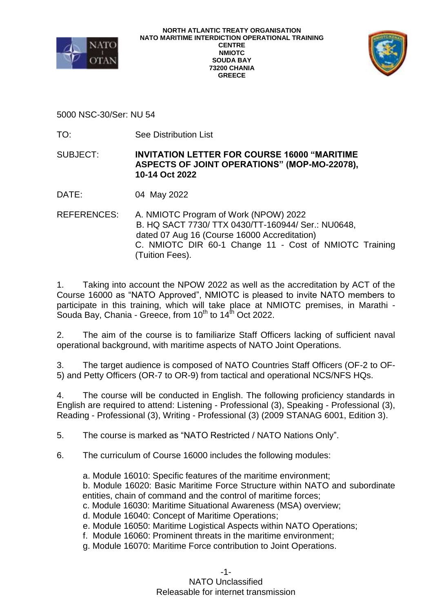



5000 NSC-30/Ser: NU 54

TO: See Distribution List

SUBJECT: **INVITATION LETTER FOR COURSE 16000 "MARITIME ASPECTS OF JOINT OPERATIONS" (MOP-MO-22078), 10-14 Oct 2022**

DATE: 04 May 2022

REFERENCES: A. NMIOTC Program of Work (NPOW) 2022 B. HQ SACT 7730/ TTX 0430/TT-160944/ Ser.: NU0648, dated 07 Aug 16 (Course 16000 Accreditation) C. NMIOTC DIR 60-1 Change 11 - Cost of NMIOTC Training (Tuition Fees).

1. Taking into account the NPOW 2022 as well as the accreditation by ACT of the Course 16000 as "NATO Approved", NMIOTC is pleased to invite NATO members to participate in this training, which will take place at NMIOTC premises, in Marathi - Souda Bay, Chania - Greece, from 10<sup>th</sup> to 14<sup>th</sup> Oct 2022.

2. The aim of the course is to familiarize Staff Officers lacking of sufficient naval operational background, with maritime aspects of NATO Joint Operations.

3. The target audience is composed of NATO Countries Staff Officers (OF-2 to OF-5) and Petty Officers (OR-7 to OR-9) from tactical and operational NCS/NFS HQs.

4. The course will be conducted in English. The following proficiency standards in English are required to attend: Listening - Professional (3), Speaking - Professional (3), Reading - Professional (3), Writing - Professional (3) (2009 STANAG 6001, Edition 3).

5. The course is marked as "NATO Restricted / NATO Nations Only".

- 6. The curriculum of Course 16000 includes the following modules:
	- a. Module 16010: Specific features of the maritime environment;

b. Module 16020: Basic Maritime Force Structure within NATO and subordinate entities, chain of command and the control of maritime forces;

c. Module 16030: Maritime Situational Awareness (MSA) overview;

- d. Module 16040: Concept of Maritime Operations;
- e. Module 16050: Maritime Logistical Aspects within NATO Operations;
- f. Module 16060: Prominent threats in the maritime environment;
- g. Module 16070: Maritime Force contribution to Joint Operations.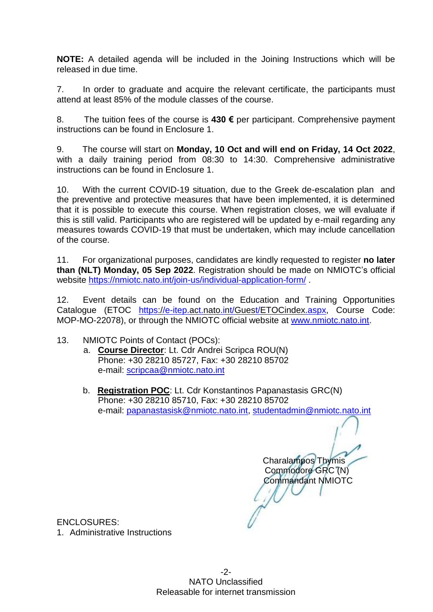**NOTE:** A detailed agenda will be included in the Joining Instructions which will be released in due time.

7. In order to graduate and acquire the relevant certificate, the participants must attend at least 85% of the module classes of the course.

8. The tuition fees of the course is **430 €** per participant. Comprehensive payment instructions can be found in Enclosure 1.

9. The course will start on **Monday, 10 Oct and will end on Friday, 14 Oct 2022**, with a daily training period from 08:30 to 14:30. Comprehensive administrative instructions can be found in Enclosure 1.

10. With the current COVID-19 situation, due to the Greek de-escalation plan and the preventive and protective measures that have been implemented, it is determined that it is possible to execute this course. When registration closes, we will evaluate if this is still valid. Participants who are registered will be updated by e-mail regarding any measures towards COVID-19 that must be undertaken, which may include cancellation of the course.

11. For organizational purposes, candidates are kindly requested to register **no later than (NLT) Monday, 05 Sep 2022**. Registration should be made on NMIOTC's official website<https://nmiotc.nato.int/join-us/individual-application-form/>

12. Event details can be found on the Education and Training Opportunities Catalogue (ETOC [https://e-itep.act.nato.int/Guest/ETOCindex.aspx,](https://e-itep.act.nato.int/Guest/ETOCindex.aspx) Course Code: MOP-MO-22078), or through the NMIOTC official website at [www.nmiotc.nato.int.](http://www.nmiotc.nato.int/) 

- 13. NMIOTC Points of Contact (POCs):
	- a. **Course Director**: Lt. Cdr Andrei Scripca ROU(N) Phone: +30 28210 85727, Fax: +30 28210 85702 e-mail: [scripcaa@nmiotc.nato.int](mailto:scripcaa@nmiotc.nato.int)
	- b. **Registration POC**: Lt. Cdr Konstantinos Papanastasis GRC(N) Phone: +30 28210 85710, Fax: +30 28210 85702 e-mail: [papanastasisk@nmiotc.nato.int,](mailto:papanastasisk@nmiotc.nato.int) [studentadmin@nmiotc.nato.int](mailto:studentadmin@nmiotc.nato.int)

 Charalampos Thymis Commodore GRC (N) Commandant NMIOTC

ENCLOSURES: 1. Administrative Instructions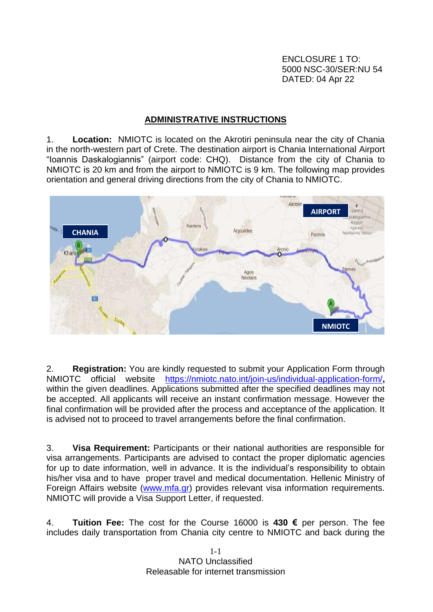ENCLOSURE 1 TO: 5000 NSC-30/SER:NU 54 DATED: 04 Apr 22

## **ADMINISTRATIVE INSTRUCTIONS**

1. **Location:** NMIOTC is located on the Akrotiri peninsula near the city of Chania in the north-western part of Crete. The destination airport is Chania International Airport "Ioannis Daskalogiannis" (airport code: CHQ). Distance from the city of Chania to NMIOTC is 20 km and from the airport to NMIOTC is 9 km. The following map provides orientation and general driving directions from the city of Chania to NMIOTC.



2. **Registration:** You are kindly requested to submit your Application Form through NMIOTC official website <https://nmiotc.nato.int/join-us/individual-application-form/>**,** within the given deadlines. Applications submitted after the specified deadlines may not be accepted. All applicants will receive an instant confirmation message. However the final confirmation will be provided after the process and acceptance of the application. It is advised not to proceed to travel arrangements before the final confirmation.

3. **Visa Requirement:** Participants or their national authorities are responsible for visa arrangements. Participants are advised to contact the proper diplomatic agencies for up to date information, well in advance. It is the individual's responsibility to obtain his/her visa and to have proper travel and medical documentation. Hellenic Ministry of Foreign Affairs website [\(www.mfa.gr\)](http://www.mfa.gr/) provides relevant visa information requirements. NMIOTC will provide a Visa Support Letter, if requested.

4. **Tuition Fee:** The cost for the Course 16000 is **430 €** per person. The fee includes daily transportation from Chania city centre to NMIOTC and back during the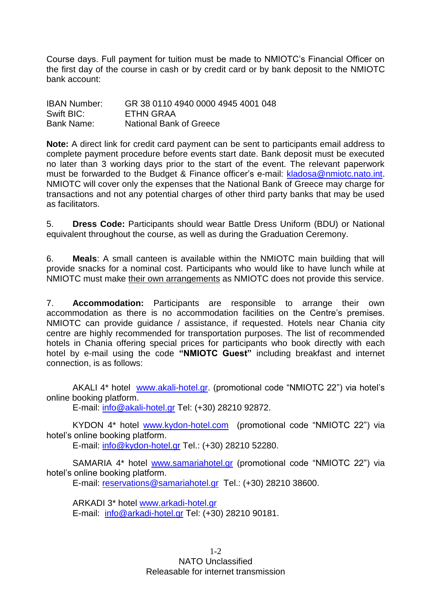Course days. Full payment for tuition must be made to NMIOTC's Financial Officer on the first day of the course in cash or by credit card or by bank deposit to the NMIOTC bank account:

| <b>IBAN Number:</b> | GR 38 0110 4940 0000 4945 4001 048 |
|---------------------|------------------------------------|
| Swift BIC:          | ETHN GRAA                          |
| Bank Name:          | <b>National Bank of Greece</b>     |

**Note:** A direct link for credit card payment can be sent to participants email address to complete payment procedure before events start date. Bank deposit must be executed no later than 3 working days prior to the start of the event. The relevant paperwork must be forwarded to the Budget & Finance officer's e-mail: [kladosa@nmiotc.nato.int.](mailto:kladosa@nmiotc.nato.int) NMIOTC will cover only the expenses that the National Bank of Greece may charge for transactions and not any potential charges of other third party banks that may be used as facilitators.

5. **Dress Code:** Participants should wear Battle Dress Uniform (BDU) or National equivalent throughout the course, as well as during the Graduation Ceremony.

6. **Meals**: A small canteen is available within the NMIOTC main building that will provide snacks for a nominal cost. Participants who would like to have lunch while at NMIOTC must make their own arrangements as NMIOTC does not provide this service.

7. **Accommodation:** Participants are responsible to arrange their own accommodation as there is no accommodation facilities on the Centre's premises. NMIOTC can provide guidance / assistance, if requested. Hotels near Chania city centre are highly recommended for transportation purposes. The list of recommended hotels in Chania offering special prices for participants who book directly with each hotel by e-mail using the code **"NMIOTC Guest"** including breakfast and internet connection, is as follows:

AKALI 4\* hotel [www.akali-hotel.gr.](http://www.akali-hotel.gr/) (promotional code "NMIOTC 22") via hotel's online booking platform.

E-mail: [info@akali-hotel.gr](mailto:info@akali-hotel.gr) Τel: [\(+30\) 28210 9](tel:%2B30%202821038600)2872.

KYDON 4\* hotel [www.kydon-hotel.com](file://nunmisv-apps/Outgoing_Documents/Users/m.woolley/AppData/Local/Microsoft/Windows/Temporary%20Internet%20Files/Content.Outlook/Local%20Settings/Temporary%20Internet%20Files/Content.Outlook/Local%20Settings/Temporary%20Internet%20Files/Content.Outlook/Local%20Settings/Temporary%20Internet%20Files/AppData/Local/Microsoft/Windows/Temporary%20Internet%20Files/lytrase/Local%20Settings/Temporary%20Internet%20Files/Content.Outlook/Local%20Settings/Temporary%20Internet%20Files/vougioukasg/Local%20Settings/Temporary%20Internet%20Files/sampanisk/Local%20Settings/Temporary%20Internet%20Files/Content.Outlook/Local%20Settings/Temporary%20Internet%20Files/Content.Outlook/UZHVFRKX/www.kydon-hotel.com) (promotional code "NMIOTC 22") via hotel's online booking platform.

E-mail: [info@kydon-hotel.gr](mailto:info@kydon-hotel.gr) Tel.: (+30) 28210 52280.

SAMARIA 4\* hotel [www.samariahotel.gr](http://www.samariahotel.gr/) (promotional code "NMIOTC 22") via hotel's online booking platform.

E-mail: [reservations@samariahotel.gr](mailto:reservations@samariahotel.gr) Τel.: [\(+30\) 28210 38600.](tel:%2B30%202821038600)

ARKADI 3\* hotel [www.arkadi-hotel.gr](http://www.arkadi-hotel.gr/) E-mail: [info@arkadi-hotel.gr](mailto:info@arkadi-hotel.gr) Τel: [\(+30\) 28210 9](tel:%2B30%202821038600)0181.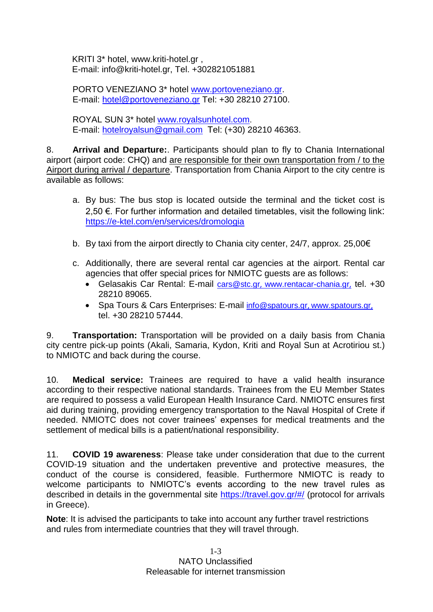KRITI 3\* hotel, www.kriti-hotel.gr , E-mail: info@kriti-hotel.gr, Tel. +302821051881

PORTO VENEZIANO 3\* hotel [www.portoveneziano.gr.](http://www.portoveneziano.gr/) E-mail: [hotel@portoveneziano.gr](mailto:hotel@portoveneziano.gr) Tel: +30 28210 27100.

ROYAL SUN 3\* hotel [www.royalsunhotel.com](http://www.royalsunhotel.com/). E-mail: [hotelroyalsun@gmail.com](mailto:hotelroyalsun@gmail.com) Τel: [\(+30\) 28210 4](tel:%2B30%202821038600)6363.

8. **Arrival and Departure:**. Participants should plan to fly to Chania International airport (airport code: CHQ) and are responsible for their own transportation from / to the Airport during arrival / departure. Transportation from Chania Airport to the city centre is available as follows:

- a. By bus: The bus stop is located outside the terminal and the ticket cost is 2,50 €. For further information and detailed timetables, visit the following link: <https://e-ktel.com/en/services/dromologia>
- b. By taxi from the airport directly to Chania city center, 24/7, approx. 25,00€
- c. Additionally, there are several rental car agencies at the airport. Rental car agencies that offer special prices for NMIOTC guests are as follows:
	- Gelasakis Car Rental: E-mail [cars@stc.gr](mailto:cars@stc.gr), [www.rentacar-chania.gr](http://www.rentacar-chania.gr/), tel. +30 28210 89065.
	- Spa Tours & Cars Enterprises: E-mail [info@spatours.gr](mailto:info@spatours.gr), [www.spatours.gr](http://www.spatours.gr/), tel. +30 28210 57444.

9. **Transportation:** Transportation will be provided on a daily basis from Chania city centre pick-up points (Akali, Samaria, Kydon, Kriti and Royal Sun at Acrotiriou st.) to NMIOTC and back during the course.

10. **Medical service:** Trainees are required to have a valid health insurance according to their respective national standards. Trainees from the EU Member States are required to possess a valid European Health Insurance Card. NMIOTC ensures first aid during training, providing emergency transportation to the Naval Hospital of Crete if needed. NMIOTC does not cover trainees' expenses for medical treatments and the settlement of medical bills is a patient/national responsibility.

11. **COVID 19 awareness**: Please take under consideration that due to the current COVID-19 situation and the undertaken preventive and protective measures, the conduct of the course is considered, feasible. Furthermore NMIOTC is ready to welcome participants to NMIOTC's events according to the new travel rules as described in details in the governmental site<https://travel.gov.gr/#/> (protocol for arrivals in Greece).

**Note**: It is advised the participants to take into account any further travel restrictions and rules from intermediate countries that they will travel through.